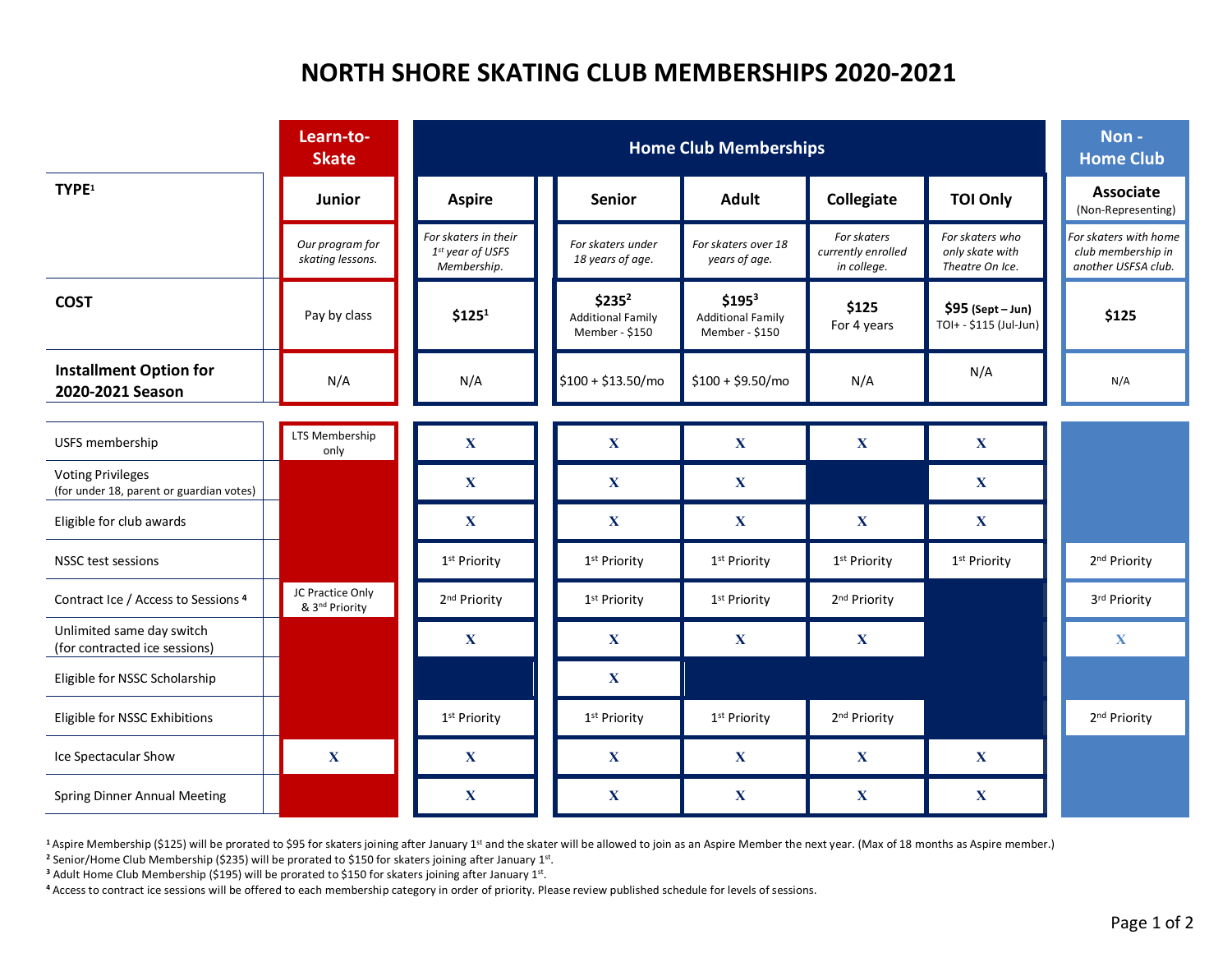## **NORTH SHORE SKATING CLUB MEMBERSHIPS 2020-2021**

|                                                                      | Learn-to-<br><b>Skate</b>                      |                                                         | Non-<br><b>Home Club</b>                                         |                                                                  |                                                  |                                                       |                                                                    |
|----------------------------------------------------------------------|------------------------------------------------|---------------------------------------------------------|------------------------------------------------------------------|------------------------------------------------------------------|--------------------------------------------------|-------------------------------------------------------|--------------------------------------------------------------------|
| TYPE <sup>1</sup>                                                    | <b>Junior</b>                                  | <b>Aspire</b>                                           | <b>Senior</b>                                                    | <b>Adult</b>                                                     | Collegiate                                       | <b>TOI Only</b>                                       | <b>Associate</b><br>(Non-Representing)                             |
|                                                                      | Our program for<br>skating lessons.            | For skaters in their<br>1st year of USFS<br>Membership. | For skaters under<br>18 years of age.                            | For skaters over 18<br>years of age.                             | For skaters<br>currently enrolled<br>in college. | For skaters who<br>only skate with<br>Theatre On Ice. | For skaters with home<br>club membership in<br>another USFSA club. |
| <b>COST</b>                                                          | Pay by class                                   | \$125 <sup>1</sup>                                      | \$235 <sup>2</sup><br><b>Additional Family</b><br>Member - \$150 | \$195 <sup>3</sup><br><b>Additional Family</b><br>Member - \$150 | \$125<br>For 4 years                             | $$95$ (Sept - Jun)<br>TOI+ - \$115 (Jul-Jun)          | \$125                                                              |
| <b>Installment Option for</b><br>2020-2021 Season                    | N/A                                            | N/A                                                     | $$100 + $13.50/m0$                                               | $$100 + $9.50/mol$                                               | N/A                                              | N/A                                                   | N/A                                                                |
|                                                                      |                                                |                                                         |                                                                  |                                                                  |                                                  |                                                       |                                                                    |
| USFS membership                                                      | LTS Membership<br>only                         | $\mathbf X$                                             | $\mathbf X$                                                      | $\mathbf X$                                                      | $\mathbf X$                                      | $\mathbf{X}$                                          |                                                                    |
| <b>Voting Privileges</b><br>(for under 18, parent or guardian votes) |                                                | $\mathbf{X}$                                            | $\mathbf X$                                                      | $\mathbf X$                                                      |                                                  | $\mathbf{X}$                                          |                                                                    |
| Eligible for club awards                                             |                                                | $\mathbf{X}$                                            | $\mathbf X$                                                      | $\mathbf X$                                                      | $\mathbf{X}$                                     | $\mathbf{X}$                                          |                                                                    |
| NSSC test sessions                                                   |                                                | 1 <sup>st</sup> Priority                                | 1 <sup>st</sup> Priority                                         | 1 <sup>st</sup> Priority                                         | 1 <sup>st</sup> Priority                         | 1 <sup>st</sup> Priority                              | 2 <sup>nd</sup> Priority                                           |
| Contract Ice / Access to Sessions 4                                  | JC Practice Only<br>& 3 <sup>nd</sup> Priority | 2 <sup>nd</sup> Priority                                | 1 <sup>st</sup> Priority                                         | 1 <sup>st</sup> Priority                                         | 2 <sup>nd</sup> Priority                         |                                                       | 3rd Priority                                                       |
| Unlimited same day switch<br>(for contracted ice sessions)           |                                                | $\mathbf{X}$                                            | $\mathbf{X}$                                                     | $\mathbf{X}$                                                     | $\mathbf X$                                      |                                                       | $\mathbf X$                                                        |
| Eligible for NSSC Scholarship                                        |                                                |                                                         | $\mathbf{X}$                                                     |                                                                  |                                                  |                                                       |                                                                    |
| Eligible for NSSC Exhibitions                                        |                                                | 1 <sup>st</sup> Priority                                | 1 <sup>st</sup> Priority                                         | 1 <sup>st</sup> Priority                                         | 2 <sup>nd</sup> Priority                         |                                                       | 2 <sup>nd</sup> Priority                                           |
| Ice Spectacular Show                                                 | X                                              | $\mathbf{X}$                                            | $\mathbf X$                                                      | $\mathbf{X}$                                                     | $\mathbf X$                                      | $\mathbf{X}$                                          |                                                                    |
| <b>Spring Dinner Annual Meeting</b>                                  |                                                | $\mathbf X$                                             | $\mathbf X$                                                      | $\mathbf X$                                                      | $\mathbf X$                                      | $\mathbf X$                                           |                                                                    |

<sup>1</sup> Aspire Membership (\$125) will be prorated to \$95 for skaters joining after January 1<sup>st</sup> and the skater will be allowed to join as an Aspire Member the next year. (Max of 18 months as Aspire member.)

**<sup>2</sup>** Senior/Home Club Membership (\$235) will be prorated to \$150 for skaters joining after January 1st.

<sup>3</sup> Adult Home Club Membership (\$195) will be prorated to \$150 for skaters joining after January 1st.

**<sup>4</sup>** Access to contract ice sessions will be offered to each membership category in order of priority. Please review published schedule for levels of sessions.